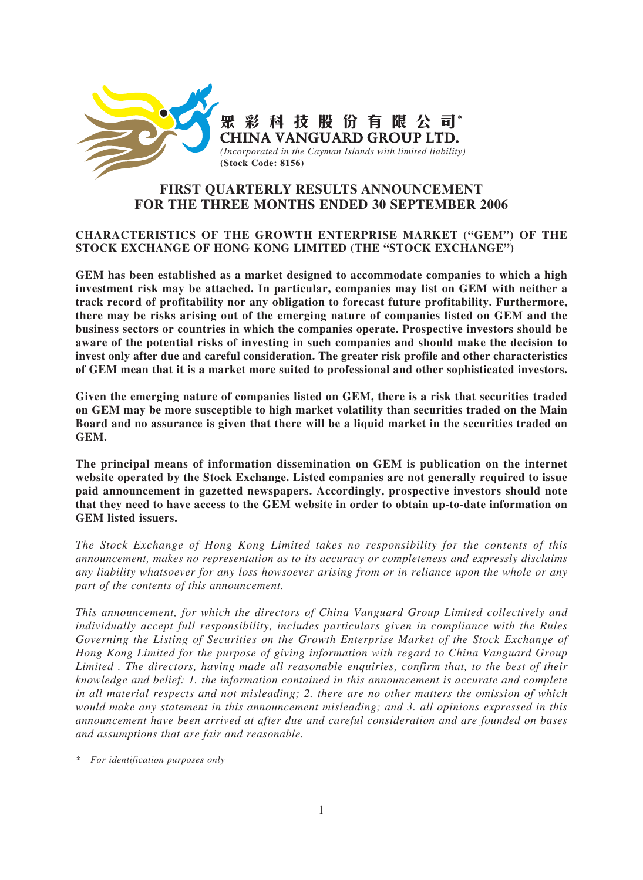

# **FIRST QUARTERLY RESULTS ANNOUNCEMENT FOR THE THREE MONTHS ENDED 30 SEPTEMBER 2006**

## **CHARACTERISTICS OF THE GROWTH ENTERPRISE MARKET ("GEM") OF THE STOCK EXCHANGE OF HONG KONG LIMITED (THE "STOCK EXCHANGE")**

**GEM has been established as a market designed to accommodate companies to which a high investment risk may be attached. In particular, companies may list on GEM with neither a track record of profitability nor any obligation to forecast future profitability. Furthermore, there may be risks arising out of the emerging nature of companies listed on GEM and the business sectors or countries in which the companies operate. Prospective investors should be aware of the potential risks of investing in such companies and should make the decision to invest only after due and careful consideration. The greater risk profile and other characteristics of GEM mean that it is a market more suited to professional and other sophisticated investors.**

**Given the emerging nature of companies listed on GEM, there is a risk that securities traded on GEM may be more susceptible to high market volatility than securities traded on the Main Board and no assurance is given that there will be a liquid market in the securities traded on GEM.**

**The principal means of information dissemination on GEM is publication on the internet website operated by the Stock Exchange. Listed companies are not generally required to issue paid announcement in gazetted newspapers. Accordingly, prospective investors should note that they need to have access to the GEM website in order to obtain up-to-date information on GEM listed issuers.**

*The Stock Exchange of Hong Kong Limited takes no responsibility for the contents of this announcement, makes no representation as to its accuracy or completeness and expressly disclaims any liability whatsoever for any loss howsoever arising from or in reliance upon the whole or any part of the contents of this announcement.*

*This announcement, for which the directors of China Vanguard Group Limited collectively and individually accept full responsibility, includes particulars given in compliance with the Rules Governing the Listing of Securities on the Growth Enterprise Market of the Stock Exchange of Hong Kong Limited for the purpose of giving information with regard to China Vanguard Group Limited . The directors, having made all reasonable enquiries, confirm that, to the best of their knowledge and belief: 1. the information contained in this announcement is accurate and complete in all material respects and not misleading; 2. there are no other matters the omission of which would make any statement in this announcement misleading; and 3. all opinions expressed in this announcement have been arrived at after due and careful consideration and are founded on bases and assumptions that are fair and reasonable.*

*\* For identification purposes only*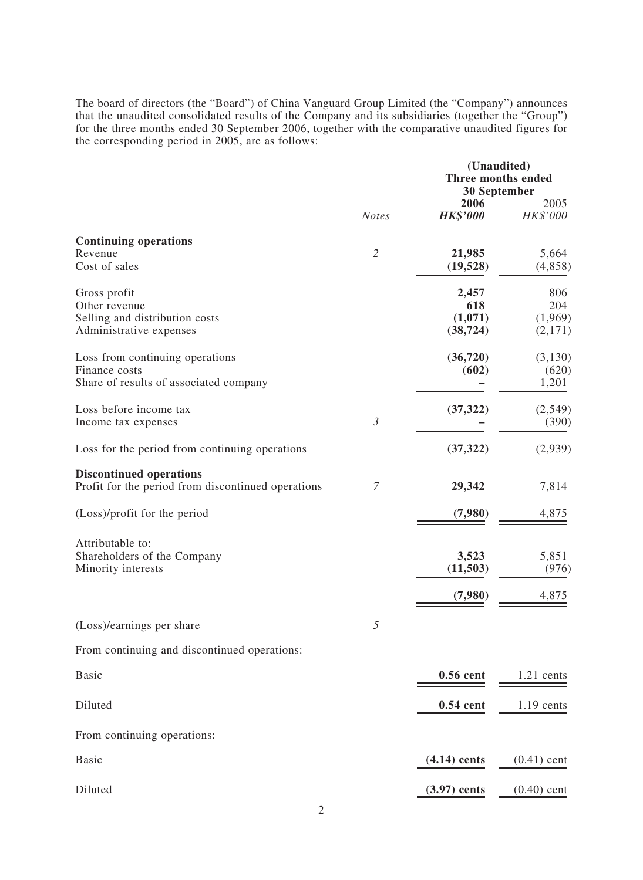The board of directors (the "Board") of China Vanguard Group Limited (the "Company") announces that the unaudited consolidated results of the Company and its subsidiaries (together the "Group") for the three months ended 30 September 2006, together with the comparative unaudited figures for the corresponding period in 2005, are as follows:

|                                                                                            |                | (Unaudited)<br><b>Three months ended</b><br><b>30 September</b> |                                  |  |  |
|--------------------------------------------------------------------------------------------|----------------|-----------------------------------------------------------------|----------------------------------|--|--|
|                                                                                            | <b>Notes</b>   | 2006<br><b>HK\$'000</b>                                         | 2005<br>HK\$'000                 |  |  |
| <b>Continuing operations</b><br>Revenue<br>Cost of sales                                   | $\overline{2}$ | 21,985<br>(19,528)                                              | 5,664<br>(4,858)                 |  |  |
| Gross profit<br>Other revenue<br>Selling and distribution costs<br>Administrative expenses |                | 2,457<br>618<br>(1,071)<br>(38, 724)                            | 806<br>204<br>(1,969)<br>(2,171) |  |  |
| Loss from continuing operations<br>Finance costs<br>Share of results of associated company |                | (36,720)<br>(602)                                               | (3,130)<br>(620)<br>1,201        |  |  |
| Loss before income tax<br>Income tax expenses                                              | $\mathfrak{Z}$ | (37, 322)                                                       | (2,549)<br>(390)                 |  |  |
| Loss for the period from continuing operations                                             |                | (37, 322)                                                       | (2,939)                          |  |  |
| <b>Discontinued operations</b><br>Profit for the period from discontinued operations       | 7              | 29,342                                                          | 7,814                            |  |  |
| (Loss)/profit for the period                                                               |                | (7,980)                                                         | 4,875                            |  |  |
| Attributable to:<br>Shareholders of the Company<br>Minority interests                      |                | 3,523<br>(11,503)<br>(7,980)                                    | 5,851<br>(976)<br>4,875          |  |  |
| (Loss)/earnings per share                                                                  | 5              |                                                                 |                                  |  |  |
| From continuing and discontinued operations:                                               |                |                                                                 |                                  |  |  |
| <b>Basic</b>                                                                               |                | 0.56 cent                                                       | $1.21$ cents                     |  |  |
| Diluted                                                                                    |                | 0.54 cent                                                       | $1.19$ cents                     |  |  |
| From continuing operations:                                                                |                |                                                                 |                                  |  |  |
| <b>Basic</b>                                                                               |                | $(4.14)$ cents                                                  | $(0.41)$ cent                    |  |  |
| Diluted                                                                                    |                | $(3.97)$ cents                                                  | $(0.40)$ cent                    |  |  |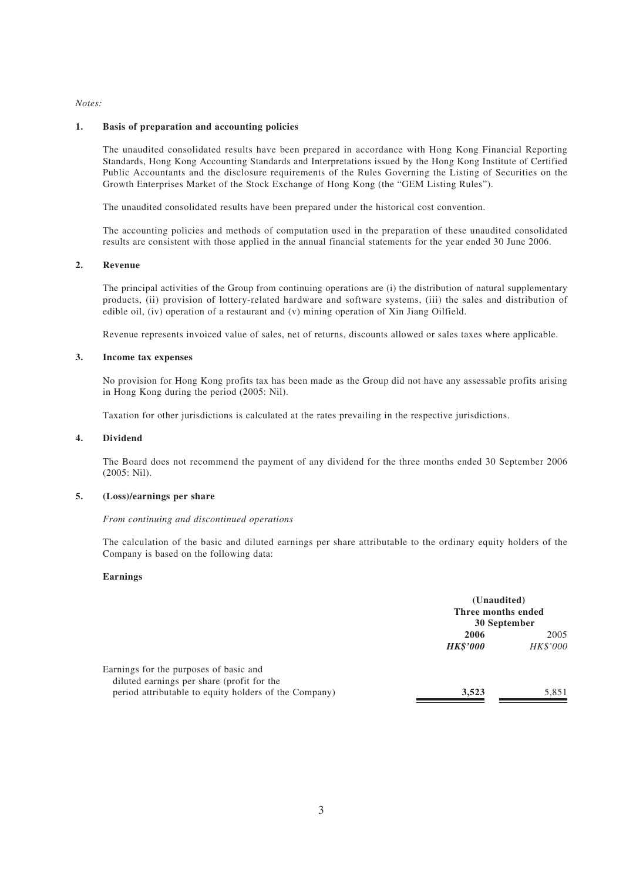### *Notes:*

### **1. Basis of preparation and accounting policies**

The unaudited consolidated results have been prepared in accordance with Hong Kong Financial Reporting Standards, Hong Kong Accounting Standards and Interpretations issued by the Hong Kong Institute of Certified Public Accountants and the disclosure requirements of the Rules Governing the Listing of Securities on the Growth Enterprises Market of the Stock Exchange of Hong Kong (the "GEM Listing Rules").

The unaudited consolidated results have been prepared under the historical cost convention.

The accounting policies and methods of computation used in the preparation of these unaudited consolidated results are consistent with those applied in the annual financial statements for the year ended 30 June 2006.

### **2. Revenue**

The principal activities of the Group from continuing operations are (i) the distribution of natural supplementary products, (ii) provision of lottery-related hardware and software systems, (iii) the sales and distribution of edible oil, (iv) operation of a restaurant and (v) mining operation of Xin Jiang Oilfield.

Revenue represents invoiced value of sales, net of returns, discounts allowed or sales taxes where applicable.

### **3. Income tax expenses**

No provision for Hong Kong profits tax has been made as the Group did not have any assessable profits arising in Hong Kong during the period (2005: Nil).

Taxation for other jurisdictions is calculated at the rates prevailing in the respective jurisdictions.

### **4. Dividend**

The Board does not recommend the payment of any dividend for the three months ended 30 September 2006 (2005: Nil).

### **5. (Loss)/earnings per share**

### *From continuing and discontinued operations*

The calculation of the basic and diluted earnings per share attributable to the ordinary equity holders of the Company is based on the following data:

### **Earnings**

|                                                                                      | (Unaudited)<br>Three months ended<br>30 September |                  |
|--------------------------------------------------------------------------------------|---------------------------------------------------|------------------|
|                                                                                      | 2006<br><b>HK\$'000</b>                           | 2005<br>HK\$'000 |
| Earnings for the purposes of basic and<br>diluted earnings per share (profit for the |                                                   |                  |
| period attributable to equity holders of the Company)                                | 3,523                                             | 5,851            |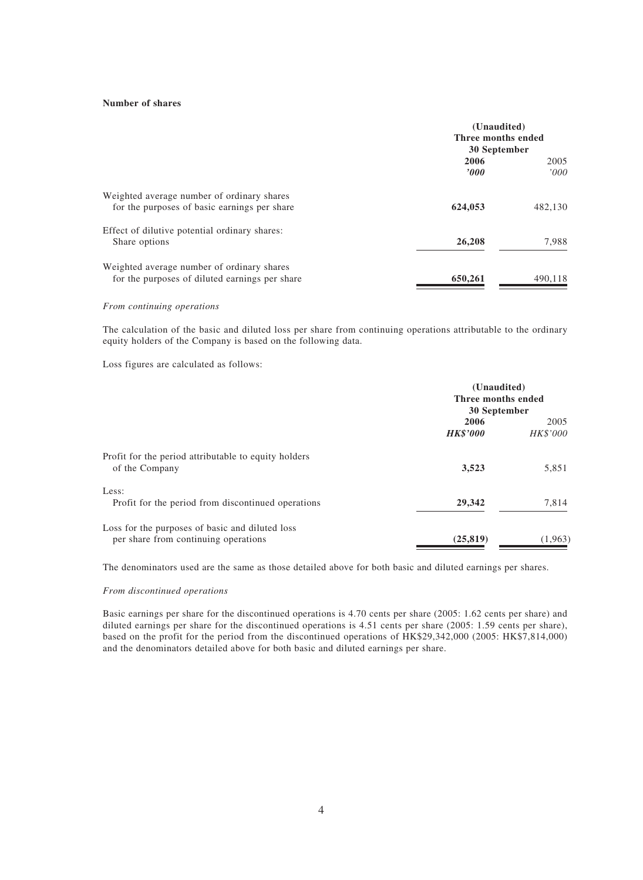### **Number of shares**

|                                                                                              | (Unaudited)<br>Three months ended<br>30 September |              |
|----------------------------------------------------------------------------------------------|---------------------------------------------------|--------------|
|                                                                                              | 2006<br>2000                                      | 2005<br>000' |
| Weighted average number of ordinary shares<br>for the purposes of basic earnings per share   | 624,053                                           | 482,130      |
| Effect of dilutive potential ordinary shares:<br>Share options                               | 26,208                                            | 7,988        |
| Weighted average number of ordinary shares<br>for the purposes of diluted earnings per share | 650,261                                           | 490,118      |

#### *From continuing operations*

The calculation of the basic and diluted loss per share from continuing operations attributable to the ordinary equity holders of the Company is based on the following data.

Loss figures are calculated as follows:

|                                                                                         | (Unaudited)<br>Three months ended<br>30 September |                         |  |
|-----------------------------------------------------------------------------------------|---------------------------------------------------|-------------------------|--|
|                                                                                         | 2006<br><b>HK\$'000</b>                           | 2005<br><b>HK\$'000</b> |  |
| Profit for the period attributable to equity holders<br>of the Company                  | 3,523                                             | 5,851                   |  |
| Less:<br>Profit for the period from discontinued operations                             | 29,342                                            | 7,814                   |  |
| Loss for the purposes of basic and diluted loss<br>per share from continuing operations | (25, 819)                                         | (1,963)                 |  |

The denominators used are the same as those detailed above for both basic and diluted earnings per shares.

#### *From discontinued operations*

Basic earnings per share for the discontinued operations is 4.70 cents per share (2005: 1.62 cents per share) and diluted earnings per share for the discontinued operations is 4.51 cents per share (2005: 1.59 cents per share), based on the profit for the period from the discontinued operations of HK\$29,342,000 (2005: HK\$7,814,000) and the denominators detailed above for both basic and diluted earnings per share.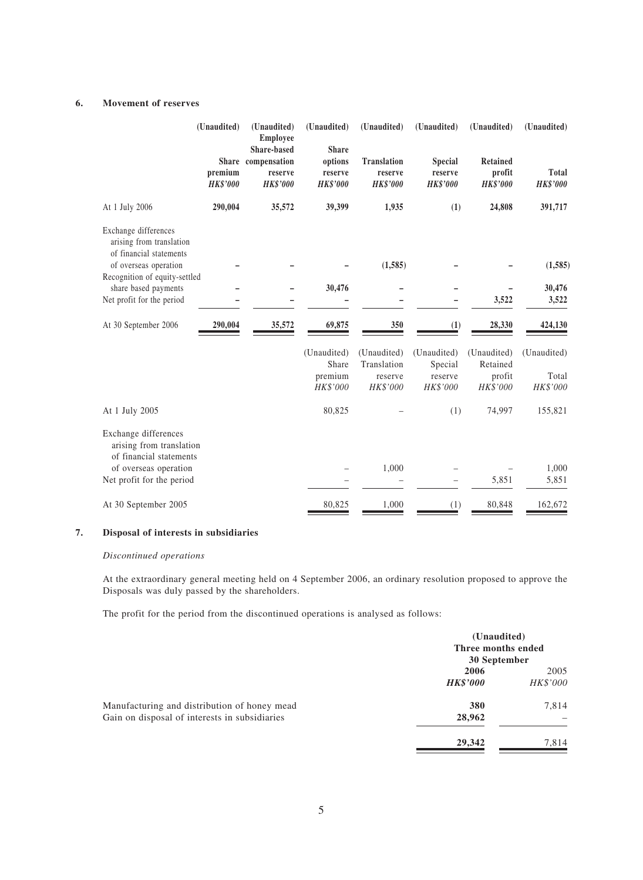## **6. Movement of reserves**

|                                                                                                      | (Unaudited)                | (Unaudited)<br><b>Employee</b>                                         | (Unaudited)                                           | (Unaudited)                                      | (Unaudited)                                  | (Unaudited)                                  | (Unaudited)                     |
|------------------------------------------------------------------------------------------------------|----------------------------|------------------------------------------------------------------------|-------------------------------------------------------|--------------------------------------------------|----------------------------------------------|----------------------------------------------|---------------------------------|
|                                                                                                      | premium<br><b>HK\$'000</b> | <b>Share-based</b><br>Share compensation<br>reserve<br><b>HK\$'000</b> | <b>Share</b><br>options<br>reserve<br><b>HK\$'000</b> | <b>Translation</b><br>reserve<br><b>HK\$'000</b> | <b>Special</b><br>reserve<br><b>HK\$'000</b> | <b>Retained</b><br>profit<br><b>HK\$'000</b> | <b>Total</b><br><b>HK\$'000</b> |
| At 1 July 2006                                                                                       | 290,004                    | 35,572                                                                 | 39,399                                                | 1,935                                            | (1)                                          | 24,808                                       | 391,717                         |
| Exchange differences<br>arising from translation<br>of financial statements<br>of overseas operation |                            |                                                                        |                                                       | (1, 585)                                         |                                              |                                              | (1, 585)                        |
| Recognition of equity-settled                                                                        |                            |                                                                        |                                                       |                                                  |                                              |                                              |                                 |
| share based payments                                                                                 |                            |                                                                        | 30,476                                                |                                                  |                                              |                                              | 30,476                          |
| Net profit for the period                                                                            |                            |                                                                        |                                                       |                                                  |                                              | 3,522                                        | 3,522                           |
| At 30 September 2006                                                                                 | 290,004                    | 35,572                                                                 | 69,875                                                | 350                                              | (1)                                          | 28,330                                       | 424,130                         |
|                                                                                                      |                            |                                                                        | (Unaudited)<br>Share                                  | (Unaudited)<br>Translation                       | (Unaudited)<br>Special                       | (Unaudited)<br>Retained                      | (Unaudited)                     |
|                                                                                                      |                            |                                                                        | premium                                               | reserve                                          | reserve                                      | profit                                       | Total                           |
|                                                                                                      |                            |                                                                        | HK\$'000                                              | HK\$'000                                         | HK\$'000                                     | HK\$'000                                     | HK\$'000                        |
| At 1 July 2005                                                                                       |                            |                                                                        | 80,825                                                |                                                  | (1)                                          | 74,997                                       | 155,821                         |
| Exchange differences<br>arising from translation<br>of financial statements                          |                            |                                                                        |                                                       |                                                  |                                              |                                              |                                 |
| of overseas operation                                                                                |                            |                                                                        |                                                       | 1,000                                            |                                              |                                              | 1,000                           |
| Net profit for the period                                                                            |                            |                                                                        |                                                       |                                                  |                                              | 5,851                                        | 5,851                           |
| At 30 September 2005                                                                                 |                            |                                                                        | 80,825                                                | 1,000                                            | (1)                                          | 80,848                                       | 162,672                         |

### **7. Disposal of interests in subsidiaries**

### *Discontinued operations*

At the extraordinary general meeting held on 4 September 2006, an ordinary resolution proposed to approve the Disposals was duly passed by the shareholders.

The profit for the period from the discontinued operations is analysed as follows:

|                                               |                         | (Unaudited)<br>Three months ended<br>30 September |
|-----------------------------------------------|-------------------------|---------------------------------------------------|
|                                               | 2006<br><b>HK\$'000</b> | 2005<br>HK\$'000                                  |
| Manufacturing and distribution of honey mead  | 380                     | 7,814                                             |
| Gain on disposal of interests in subsidiaries | 28,962                  |                                                   |
|                                               | 29,342                  | 7,814                                             |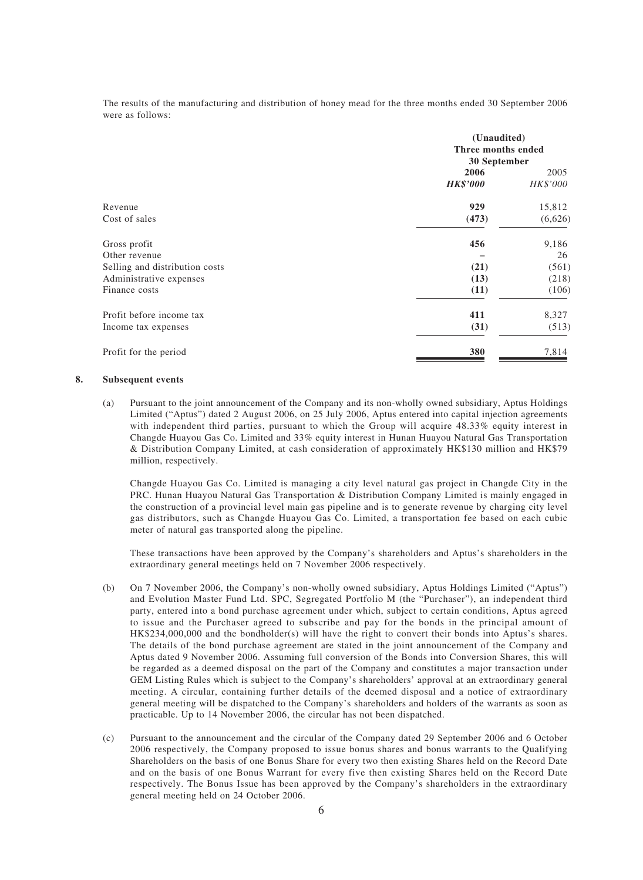The results of the manufacturing and distribution of honey mead for the three months ended 30 September 2006 were as follows:

|                                | (Unaudited)<br>Three months ended<br>30 September |                  |  |
|--------------------------------|---------------------------------------------------|------------------|--|
|                                | 2006<br><b>HK\$'000</b>                           | 2005<br>HK\$'000 |  |
| Revenue                        | 929                                               | 15,812           |  |
| Cost of sales                  | (473)                                             | (6,626)          |  |
| Gross profit                   | 456                                               | 9,186            |  |
| Other revenue                  |                                                   | 26               |  |
| Selling and distribution costs | (21)                                              | (561)            |  |
| Administrative expenses        | (13)                                              | (218)            |  |
| Finance costs                  | (11)                                              | (106)            |  |
| Profit before income tax       | 411                                               | 8,327            |  |
| Income tax expenses            | (31)                                              | (513)            |  |
| Profit for the period          | 380                                               | 7,814            |  |

#### **8. Subsequent events**

(a) Pursuant to the joint announcement of the Company and its non-wholly owned subsidiary, Aptus Holdings Limited ("Aptus") dated 2 August 2006, on 25 July 2006, Aptus entered into capital injection agreements with independent third parties, pursuant to which the Group will acquire 48.33% equity interest in Changde Huayou Gas Co. Limited and 33% equity interest in Hunan Huayou Natural Gas Transportation & Distribution Company Limited, at cash consideration of approximately HK\$130 million and HK\$79 million, respectively.

Changde Huayou Gas Co. Limited is managing a city level natural gas project in Changde City in the PRC. Hunan Huayou Natural Gas Transportation & Distribution Company Limited is mainly engaged in the construction of a provincial level main gas pipeline and is to generate revenue by charging city level gas distributors, such as Changde Huayou Gas Co. Limited, a transportation fee based on each cubic meter of natural gas transported along the pipeline.

These transactions have been approved by the Company's shareholders and Aptus's shareholders in the extraordinary general meetings held on 7 November 2006 respectively.

- (b) On 7 November 2006, the Company's non-wholly owned subsidiary, Aptus Holdings Limited ("Aptus") and Evolution Master Fund Ltd. SPC, Segregated Portfolio M (the "Purchaser"), an independent third party, entered into a bond purchase agreement under which, subject to certain conditions, Aptus agreed to issue and the Purchaser agreed to subscribe and pay for the bonds in the principal amount of HK\$234,000,000 and the bondholder(s) will have the right to convert their bonds into Aptus's shares. The details of the bond purchase agreement are stated in the joint announcement of the Company and Aptus dated 9 November 2006. Assuming full conversion of the Bonds into Conversion Shares, this will be regarded as a deemed disposal on the part of the Company and constitutes a major transaction under GEM Listing Rules which is subject to the Company's shareholders' approval at an extraordinary general meeting. A circular, containing further details of the deemed disposal and a notice of extraordinary general meeting will be dispatched to the Company's shareholders and holders of the warrants as soon as practicable. Up to 14 November 2006, the circular has not been dispatched.
- (c) Pursuant to the announcement and the circular of the Company dated 29 September 2006 and 6 October 2006 respectively, the Company proposed to issue bonus shares and bonus warrants to the Qualifying Shareholders on the basis of one Bonus Share for every two then existing Shares held on the Record Date and on the basis of one Bonus Warrant for every five then existing Shares held on the Record Date respectively. The Bonus Issue has been approved by the Company's shareholders in the extraordinary general meeting held on 24 October 2006.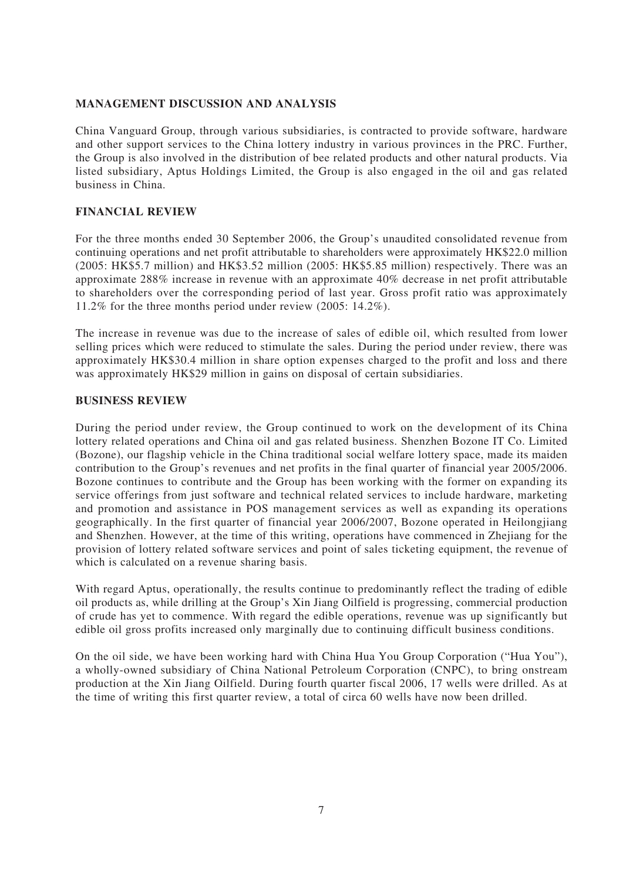## **MANAGEMENT DISCUSSION AND ANALYSIS**

China Vanguard Group, through various subsidiaries, is contracted to provide software, hardware and other support services to the China lottery industry in various provinces in the PRC. Further, the Group is also involved in the distribution of bee related products and other natural products. Via listed subsidiary, Aptus Holdings Limited, the Group is also engaged in the oil and gas related business in China.

# **FINANCIAL REVIEW**

For the three months ended 30 September 2006, the Group's unaudited consolidated revenue from continuing operations and net profit attributable to shareholders were approximately HK\$22.0 million (2005: HK\$5.7 million) and HK\$3.52 million (2005: HK\$5.85 million) respectively. There was an approximate 288% increase in revenue with an approximate 40% decrease in net profit attributable to shareholders over the corresponding period of last year. Gross profit ratio was approximately 11.2% for the three months period under review (2005: 14.2%).

The increase in revenue was due to the increase of sales of edible oil, which resulted from lower selling prices which were reduced to stimulate the sales. During the period under review, there was approximately HK\$30.4 million in share option expenses charged to the profit and loss and there was approximately HK\$29 million in gains on disposal of certain subsidiaries.

## **BUSINESS REVIEW**

During the period under review, the Group continued to work on the development of its China lottery related operations and China oil and gas related business. Shenzhen Bozone IT Co. Limited (Bozone), our flagship vehicle in the China traditional social welfare lottery space, made its maiden contribution to the Group's revenues and net profits in the final quarter of financial year 2005/2006. Bozone continues to contribute and the Group has been working with the former on expanding its service offerings from just software and technical related services to include hardware, marketing and promotion and assistance in POS management services as well as expanding its operations geographically. In the first quarter of financial year 2006/2007, Bozone operated in Heilongjiang and Shenzhen. However, at the time of this writing, operations have commenced in Zhejiang for the provision of lottery related software services and point of sales ticketing equipment, the revenue of which is calculated on a revenue sharing basis.

With regard Aptus, operationally, the results continue to predominantly reflect the trading of edible oil products as, while drilling at the Group's Xin Jiang Oilfield is progressing, commercial production of crude has yet to commence. With regard the edible operations, revenue was up significantly but edible oil gross profits increased only marginally due to continuing difficult business conditions.

On the oil side, we have been working hard with China Hua You Group Corporation ("Hua You"), a wholly-owned subsidiary of China National Petroleum Corporation (CNPC), to bring onstream production at the Xin Jiang Oilfield. During fourth quarter fiscal 2006, 17 wells were drilled. As at the time of writing this first quarter review, a total of circa 60 wells have now been drilled.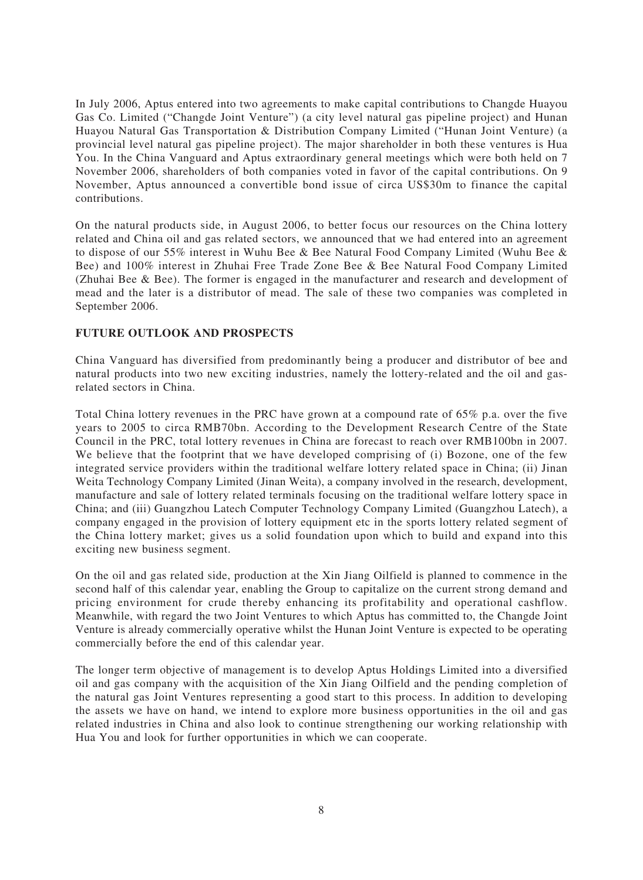In July 2006, Aptus entered into two agreements to make capital contributions to Changde Huayou Gas Co. Limited ("Changde Joint Venture") (a city level natural gas pipeline project) and Hunan Huayou Natural Gas Transportation & Distribution Company Limited ("Hunan Joint Venture) (a provincial level natural gas pipeline project). The major shareholder in both these ventures is Hua You. In the China Vanguard and Aptus extraordinary general meetings which were both held on 7 November 2006, shareholders of both companies voted in favor of the capital contributions. On 9 November, Aptus announced a convertible bond issue of circa US\$30m to finance the capital contributions.

On the natural products side, in August 2006, to better focus our resources on the China lottery related and China oil and gas related sectors, we announced that we had entered into an agreement to dispose of our 55% interest in Wuhu Bee & Bee Natural Food Company Limited (Wuhu Bee & Bee) and 100% interest in Zhuhai Free Trade Zone Bee & Bee Natural Food Company Limited (Zhuhai Bee & Bee). The former is engaged in the manufacturer and research and development of mead and the later is a distributor of mead. The sale of these two companies was completed in September 2006.

# **FUTURE OUTLOOK AND PROSPECTS**

China Vanguard has diversified from predominantly being a producer and distributor of bee and natural products into two new exciting industries, namely the lottery-related and the oil and gasrelated sectors in China.

Total China lottery revenues in the PRC have grown at a compound rate of 65% p.a. over the five years to 2005 to circa RMB70bn. According to the Development Research Centre of the State Council in the PRC, total lottery revenues in China are forecast to reach over RMB100bn in 2007. We believe that the footprint that we have developed comprising of (i) Bozone, one of the few integrated service providers within the traditional welfare lottery related space in China; (ii) Jinan Weita Technology Company Limited (Jinan Weita), a company involved in the research, development, manufacture and sale of lottery related terminals focusing on the traditional welfare lottery space in China; and (iii) Guangzhou Latech Computer Technology Company Limited (Guangzhou Latech), a company engaged in the provision of lottery equipment etc in the sports lottery related segment of the China lottery market; gives us a solid foundation upon which to build and expand into this exciting new business segment.

On the oil and gas related side, production at the Xin Jiang Oilfield is planned to commence in the second half of this calendar year, enabling the Group to capitalize on the current strong demand and pricing environment for crude thereby enhancing its profitability and operational cashflow. Meanwhile, with regard the two Joint Ventures to which Aptus has committed to, the Changde Joint Venture is already commercially operative whilst the Hunan Joint Venture is expected to be operating commercially before the end of this calendar year.

The longer term objective of management is to develop Aptus Holdings Limited into a diversified oil and gas company with the acquisition of the Xin Jiang Oilfield and the pending completion of the natural gas Joint Ventures representing a good start to this process. In addition to developing the assets we have on hand, we intend to explore more business opportunities in the oil and gas related industries in China and also look to continue strengthening our working relationship with Hua You and look for further opportunities in which we can cooperate.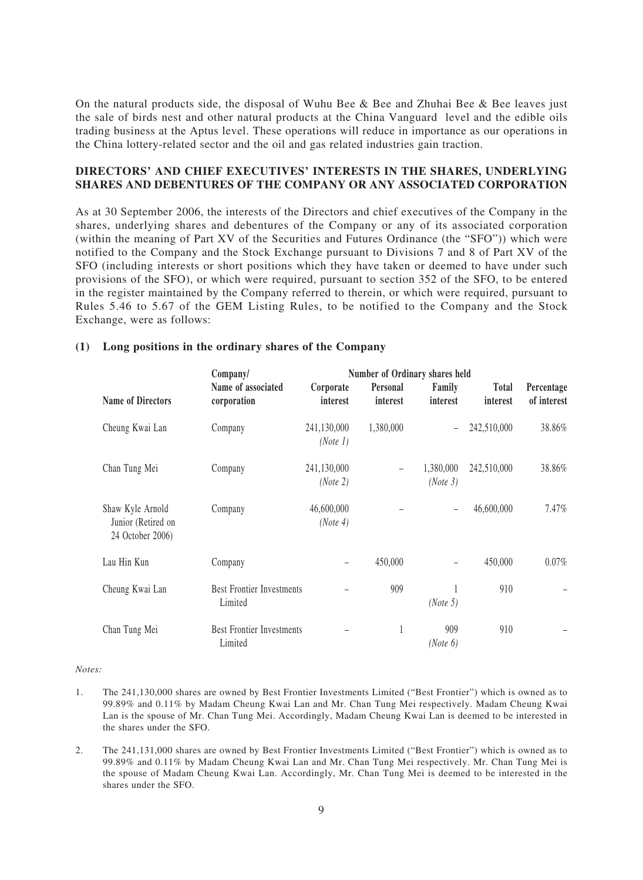On the natural products side, the disposal of Wuhu Bee & Bee and Zhuhai Bee & Bee leaves just the sale of birds nest and other natural products at the China Vanguard level and the edible oils trading business at the Aptus level. These operations will reduce in importance as our operations in the China lottery-related sector and the oil and gas related industries gain traction.

## **DIRECTORS' AND CHIEF EXECUTIVES' INTERESTS IN THE SHARES, UNDERLYING SHARES AND DEBENTURES OF THE COMPANY OR ANY ASSOCIATED CORPORATION**

As at 30 September 2006, the interests of the Directors and chief executives of the Company in the shares, underlying shares and debentures of the Company or any of its associated corporation (within the meaning of Part XV of the Securities and Futures Ordinance (the "SFO")) which were notified to the Company and the Stock Exchange pursuant to Divisions 7 and 8 of Part XV of the SFO (including interests or short positions which they have taken or deemed to have under such provisions of the SFO), or which were required, pursuant to section 352 of the SFO, to be entered in the register maintained by the Company referred to therein, or which were required, pursuant to Rules 5.46 to 5.67 of the GEM Listing Rules, to be notified to the Company and the Stock Exchange, were as follows:

## **(1) Long positions in the ordinary shares of the Company**

|                                                            | <b>Number of Ordinary shares held</b><br>Company/ |                         |                          |                          |                   |                           |  |  |
|------------------------------------------------------------|---------------------------------------------------|-------------------------|--------------------------|--------------------------|-------------------|---------------------------|--|--|
| <b>Name of Directors</b>                                   | Name of associated<br>corporation                 | Corporate<br>interest   | Personal<br>interest     | Family<br>interest       | Total<br>interest | Percentage<br>of interest |  |  |
| Cheung Kwai Lan                                            | Company                                           | 241,130,000<br>(Note 1) | 1,380,000                | $\overline{\phantom{0}}$ | 242,510,000       | 38.86%                    |  |  |
| Chan Tung Mei                                              | Company                                           | 241,130,000<br>(Note 2) | $\overline{\phantom{m}}$ | 1,380,000<br>(Note 3)    | 242,510,000       | 38.86%                    |  |  |
| Shaw Kyle Arnold<br>Junior (Retired on<br>24 October 2006) | Company                                           | 46,600,000<br>(Note 4)  |                          | $\overline{\phantom{0}}$ | 46,600,000        | $7.47\%$                  |  |  |
| Lau Hin Kun                                                | Company                                           |                         | 450,000                  |                          | 450,000           | $0.07\%$                  |  |  |
| Cheung Kwai Lan                                            | <b>Best Frontier Investments</b><br>Limited       |                         | 909                      | (Note 5)                 | 910               |                           |  |  |
| Chan Tung Mei                                              | <b>Best Frontier Investments</b><br>Limited       |                         | 1                        | 909<br>(Note 6)          | 910               |                           |  |  |

### *Notes:*

- 1. The 241,130,000 shares are owned by Best Frontier Investments Limited ("Best Frontier") which is owned as to 99.89% and 0.11% by Madam Cheung Kwai Lan and Mr. Chan Tung Mei respectively. Madam Cheung Kwai Lan is the spouse of Mr. Chan Tung Mei. Accordingly, Madam Cheung Kwai Lan is deemed to be interested in the shares under the SFO.
- 2. The 241,131,000 shares are owned by Best Frontier Investments Limited ("Best Frontier") which is owned as to 99.89% and 0.11% by Madam Cheung Kwai Lan and Mr. Chan Tung Mei respectively. Mr. Chan Tung Mei is the spouse of Madam Cheung Kwai Lan. Accordingly, Mr. Chan Tung Mei is deemed to be interested in the shares under the SFO.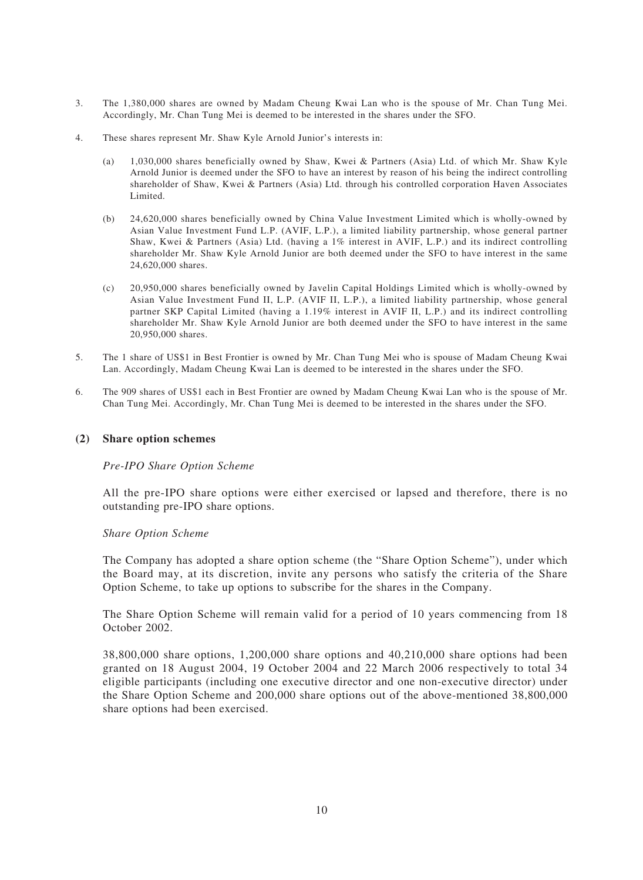- 3. The 1,380,000 shares are owned by Madam Cheung Kwai Lan who is the spouse of Mr. Chan Tung Mei. Accordingly, Mr. Chan Tung Mei is deemed to be interested in the shares under the SFO.
- 4. These shares represent Mr. Shaw Kyle Arnold Junior's interests in:
	- (a) 1,030,000 shares beneficially owned by Shaw, Kwei & Partners (Asia) Ltd. of which Mr. Shaw Kyle Arnold Junior is deemed under the SFO to have an interest by reason of his being the indirect controlling shareholder of Shaw, Kwei & Partners (Asia) Ltd. through his controlled corporation Haven Associates Limited.
	- (b) 24,620,000 shares beneficially owned by China Value Investment Limited which is wholly-owned by Asian Value Investment Fund L.P. (AVIF, L.P.), a limited liability partnership, whose general partner Shaw, Kwei & Partners (Asia) Ltd. (having a 1% interest in AVIF, L.P.) and its indirect controlling shareholder Mr. Shaw Kyle Arnold Junior are both deemed under the SFO to have interest in the same 24,620,000 shares.
	- (c) 20,950,000 shares beneficially owned by Javelin Capital Holdings Limited which is wholly-owned by Asian Value Investment Fund II, L.P. (AVIF II, L.P.), a limited liability partnership, whose general partner SKP Capital Limited (having a 1.19% interest in AVIF II, L.P.) and its indirect controlling shareholder Mr. Shaw Kyle Arnold Junior are both deemed under the SFO to have interest in the same 20,950,000 shares.
- 5. The 1 share of US\$1 in Best Frontier is owned by Mr. Chan Tung Mei who is spouse of Madam Cheung Kwai Lan. Accordingly, Madam Cheung Kwai Lan is deemed to be interested in the shares under the SFO.
- 6. The 909 shares of US\$1 each in Best Frontier are owned by Madam Cheung Kwai Lan who is the spouse of Mr. Chan Tung Mei. Accordingly, Mr. Chan Tung Mei is deemed to be interested in the shares under the SFO.

## **(2) Share option schemes**

### *Pre-IPO Share Option Scheme*

All the pre-IPO share options were either exercised or lapsed and therefore, there is no outstanding pre-IPO share options.

### *Share Option Scheme*

The Company has adopted a share option scheme (the "Share Option Scheme"), under which the Board may, at its discretion, invite any persons who satisfy the criteria of the Share Option Scheme, to take up options to subscribe for the shares in the Company.

The Share Option Scheme will remain valid for a period of 10 years commencing from 18 October 2002.

38,800,000 share options, 1,200,000 share options and 40,210,000 share options had been granted on 18 August 2004, 19 October 2004 and 22 March 2006 respectively to total 34 eligible participants (including one executive director and one non-executive director) under the Share Option Scheme and 200,000 share options out of the above-mentioned 38,800,000 share options had been exercised.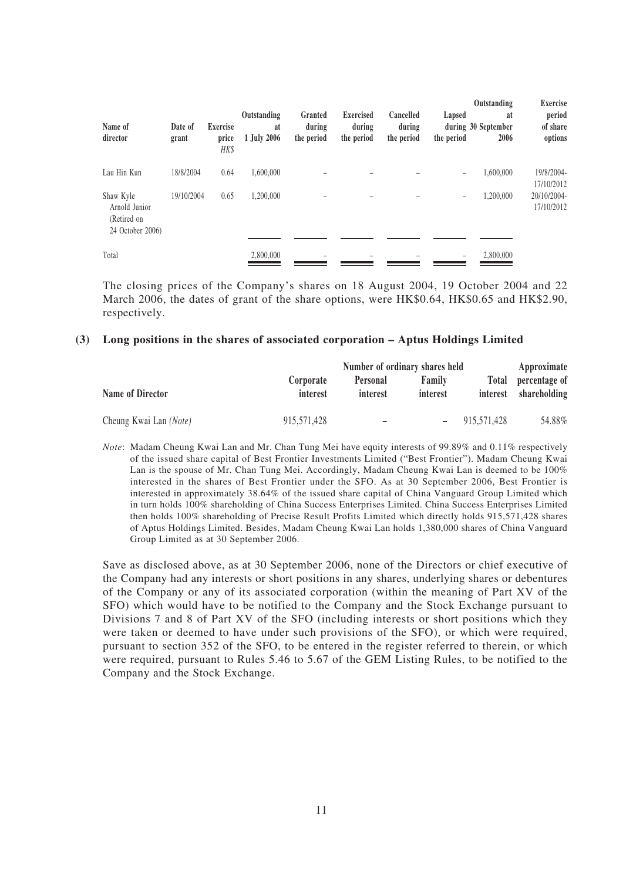| Name of<br>director                                           | Date of<br>grant | <b>Exercise</b><br>price<br>HK\$ | Outstanding<br>at<br>1 July 2006 | Granted<br>during<br>the period | <b>Exercised</b><br>during<br>the period | Cancelled<br>during<br>the period | Lapsed<br>the period | Outstanding<br>at<br>during 30 September<br>2006 | <b>Exercise</b><br>period<br>of share<br>options |
|---------------------------------------------------------------|------------------|----------------------------------|----------------------------------|---------------------------------|------------------------------------------|-----------------------------------|----------------------|--------------------------------------------------|--------------------------------------------------|
| Lau Hin Kun                                                   | 18/8/2004        | 0.64                             | 1,600,000                        |                                 |                                          |                                   | -                    | 1,600,000                                        | 19/8/2004-<br>17/10/2012                         |
| Shaw Kyle<br>Arnold Junior<br>(Retired on<br>24 October 2006) | 19/10/2004       | 0.65                             | 1,200,000                        |                                 |                                          |                                   | -                    | 1,200,000                                        | 20/10/2004-<br>17/10/2012                        |
| Total                                                         |                  |                                  | 2,800,000                        |                                 |                                          |                                   |                      | 2,800,000                                        |                                                  |

The closing prices of the Company's shares on 18 August 2004, 19 October 2004 and 22 March 2006, the dates of grant of the share options, were HK\$0.64, HK\$0.65 and HK\$2.90, respectively.

### **(3) Long positions in the shares of associated corporation – Aptus Holdings Limited**

|                        |                       | Approximate          |                    |                          |                               |
|------------------------|-----------------------|----------------------|--------------------|--------------------------|-------------------------------|
| Name of Director       | Corporate<br>interest | Personal<br>interest | Family<br>interest | <b>Total</b><br>interest | percentage of<br>shareholding |
| Cheung Kwai Lan (Note) | 915,571,428           | -                    |                    | 915,571,428              | 54.88%                        |

*Note*: Madam Cheung Kwai Lan and Mr. Chan Tung Mei have equity interests of 99.89% and 0.11% respectively of the issued share capital of Best Frontier Investments Limited ("Best Frontier"). Madam Cheung Kwai Lan is the spouse of Mr. Chan Tung Mei. Accordingly, Madam Cheung Kwai Lan is deemed to be 100% interested in the shares of Best Frontier under the SFO. As at 30 September 2006, Best Frontier is interested in approximately 38.64% of the issued share capital of China Vanguard Group Limited which in turn holds 100% shareholding of China Success Enterprises Limited. China Success Enterprises Limited then holds 100% shareholding of Precise Result Profits Limited which directly holds 915,571,428 shares of Aptus Holdings Limited. Besides, Madam Cheung Kwai Lan holds 1,380,000 shares of China Vanguard Group Limited as at 30 September 2006.

Save as disclosed above, as at 30 September 2006, none of the Directors or chief executive of the Company had any interests or short positions in any shares, underlying shares or debentures of the Company or any of its associated corporation (within the meaning of Part XV of the SFO) which would have to be notified to the Company and the Stock Exchange pursuant to Divisions 7 and 8 of Part XV of the SFO (including interests or short positions which they were taken or deemed to have under such provisions of the SFO), or which were required, pursuant to section 352 of the SFO, to be entered in the register referred to therein, or which were required, pursuant to Rules 5.46 to 5.67 of the GEM Listing Rules, to be notified to the Company and the Stock Exchange.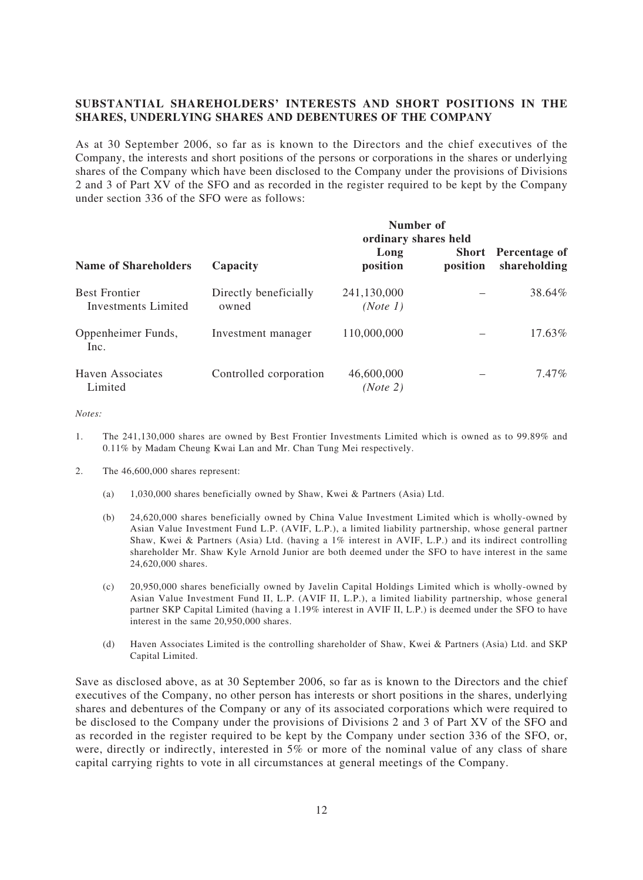## **SUBSTANTIAL SHAREHOLDERS' INTERESTS AND SHORT POSITIONS IN THE SHARES, UNDERLYING SHARES AND DEBENTURES OF THE COMPANY**

As at 30 September 2006, so far as is known to the Directors and the chief executives of the Company, the interests and short positions of the persons or corporations in the shares or underlying shares of the Company which have been disclosed to the Company under the provisions of Divisions 2 and 3 of Part XV of the SFO and as recorded in the register required to be kept by the Company under section 336 of the SFO were as follows:

| <b>Name of Shareholders</b>                 | Number of<br>ordinary shares held |                         |          |                                            |  |  |  |
|---------------------------------------------|-----------------------------------|-------------------------|----------|--------------------------------------------|--|--|--|
|                                             | Capacity                          | Long<br>position        | position | <b>Short</b> Percentage of<br>shareholding |  |  |  |
| <b>Best Frontier</b><br>Investments Limited | Directly beneficially<br>owned    | 241,130,000<br>(Note 1) |          | 38.64%                                     |  |  |  |
| Oppenheimer Funds,<br>Inc.                  | Investment manager                | 110,000,000             |          | 17.63%                                     |  |  |  |
| <b>Haven Associates</b><br>Limited          | Controlled corporation            | 46,600,000<br>(Note 2)  |          | 7.47%                                      |  |  |  |

*Notes:*

- 1. The 241,130,000 shares are owned by Best Frontier Investments Limited which is owned as to 99.89% and 0.11% by Madam Cheung Kwai Lan and Mr. Chan Tung Mei respectively.
- 2. The 46,600,000 shares represent:
	- (a) 1,030,000 shares beneficially owned by Shaw, Kwei & Partners (Asia) Ltd.
	- (b) 24,620,000 shares beneficially owned by China Value Investment Limited which is wholly-owned by Asian Value Investment Fund L.P. (AVIF, L.P.), a limited liability partnership, whose general partner Shaw, Kwei & Partners (Asia) Ltd. (having a 1% interest in AVIF, L.P.) and its indirect controlling shareholder Mr. Shaw Kyle Arnold Junior are both deemed under the SFO to have interest in the same 24,620,000 shares.
	- (c) 20,950,000 shares beneficially owned by Javelin Capital Holdings Limited which is wholly-owned by Asian Value Investment Fund II, L.P. (AVIF II, L.P.), a limited liability partnership, whose general partner SKP Capital Limited (having a 1.19% interest in AVIF II, L.P.) is deemed under the SFO to have interest in the same 20,950,000 shares.
	- (d) Haven Associates Limited is the controlling shareholder of Shaw, Kwei & Partners (Asia) Ltd. and SKP Capital Limited.

Save as disclosed above, as at 30 September 2006, so far as is known to the Directors and the chief executives of the Company, no other person has interests or short positions in the shares, underlying shares and debentures of the Company or any of its associated corporations which were required to be disclosed to the Company under the provisions of Divisions 2 and 3 of Part XV of the SFO and as recorded in the register required to be kept by the Company under section 336 of the SFO, or, were, directly or indirectly, interested in 5% or more of the nominal value of any class of share capital carrying rights to vote in all circumstances at general meetings of the Company.